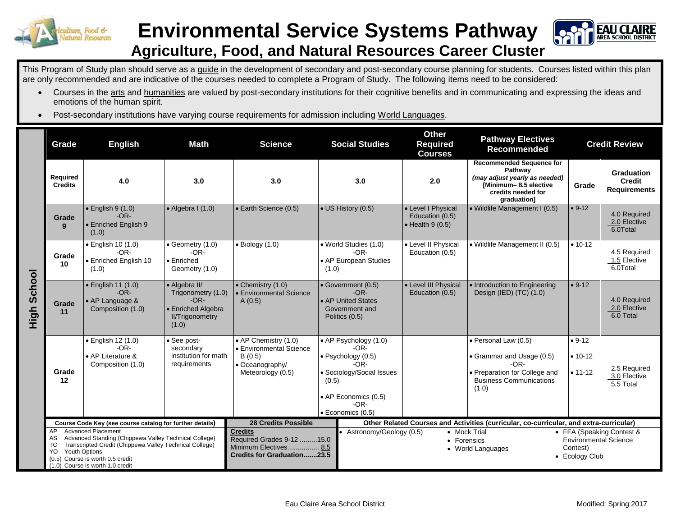

## **Environmental Service Systems Pathway Agriculture, Food, and Natural Resources Career Cluster**



This Program of Study plan should serve as a guide in the development of secondary and post-secondary course planning for students. Courses listed within this plan are only recommended and are indicative of the courses needed to complete a Program of Study. The following items need to be considered:

- Courses in the arts and humanities are valued by post-secondary institutions for their cognitive benefits and in communicating and expressing the ideas and emotions of the human spirit.
- Post-secondary institutions have varying course requirements for admission including World Languages.

|             | Grade                                                                                                                                                                                                                                                                                                                              | <b>English</b>                                                               | <b>Math</b>                                                                                            | <b>Science</b>                                                                                                                          | <b>Social Studies</b>                                                                                                                                        | <b>Other</b><br><b>Required</b><br><b>Courses</b>                 | <b>Pathway Electives</b><br><b>Recommended</b>                                                                                             |                                      | <b>Credit Review</b>                                      |
|-------------|------------------------------------------------------------------------------------------------------------------------------------------------------------------------------------------------------------------------------------------------------------------------------------------------------------------------------------|------------------------------------------------------------------------------|--------------------------------------------------------------------------------------------------------|-----------------------------------------------------------------------------------------------------------------------------------------|--------------------------------------------------------------------------------------------------------------------------------------------------------------|-------------------------------------------------------------------|--------------------------------------------------------------------------------------------------------------------------------------------|--------------------------------------|-----------------------------------------------------------|
| High School | Required<br><b>Credits</b>                                                                                                                                                                                                                                                                                                         | 4.0                                                                          | 3.0                                                                                                    | 3.0                                                                                                                                     | 3.0                                                                                                                                                          | 2.0                                                               | <b>Recommended Sequence for</b><br>Pathway<br>(may adjust yearly as needed)<br>[Minimum-8.5 elective<br>credits needed for<br>graduation]  | Grade                                | Graduation<br><b>Credit</b><br><b>Requirements</b>        |
|             | Grade<br>9                                                                                                                                                                                                                                                                                                                         | $\bullet$ English 9 (1.0)<br>$-OR-$<br>• Enriched English 9<br>(1.0)         | • Algebra I (1.0)                                                                                      | • Earth Science (0.5)                                                                                                                   | • US History (0.5)                                                                                                                                           | • Level I Physical<br>Education (0.5)<br>$\bullet$ Health 9 (0.5) | · Wildlife Management I (0.5)                                                                                                              | $• 9-12$                             | 4.0 Required<br>2.0 Elective<br>6.0Total                  |
|             | Grade<br>10                                                                                                                                                                                                                                                                                                                        | · English 10 (1.0)<br>$-OR-$<br>• Enriched English 10<br>(1.0)               | • Geometry (1.0)<br>$-OR-$<br>· Enriched<br>Geometry (1.0)                                             | $\bullet$ Biology (1.0)                                                                                                                 | • World Studies (1.0)<br>$-OR-$<br>• AP European Studies<br>(1.0)                                                                                            | • Level II Physical<br>Education (0.5)                            | • Wildlife Management II (0.5)                                                                                                             | $• 10-12$                            | 4.5 Required<br>1.5 Elective<br>6.0Total                  |
|             | Grade<br>11                                                                                                                                                                                                                                                                                                                        | $\bullet$ English 11 (1.0)<br>$-OR-$<br>• AP Language &<br>Composition (1.0) | • Algebra II/<br>Trigonometry (1.0)<br>$-OR-$<br>• Enriched Algebra<br><b>II/Trigonometry</b><br>(1.0) | $\bullet$ Chemistry (1.0)<br>• Environmental Science<br>A(0.5)                                                                          | • Government (0.5)<br>$-OR-$<br>• AP United States<br>Government and<br>Politics (0.5)                                                                       | • Level III Physical<br>Education (0.5)                           | • Introduction to Engineering<br>Design (IED) (TC) (1.0)                                                                                   | $• 9-12$                             | 4.0 Required<br>2.0 Elective<br>6.0 Total                 |
|             | Grade<br>12                                                                                                                                                                                                                                                                                                                        | • English 12 (1.0)<br>$-OR-$<br>• AP Literature &<br>Composition (1.0)       | • See post-<br>secondary<br>institution for math<br>requirements                                       | • AP Chemistry (1.0)<br>• Environmental Science<br>B(0.5)<br>• Oceanography/<br>Meteorology (0.5)                                       | • AP Psychology (1.0)<br>$-OR-$<br>· Psychology (0.5)<br>$-OR-$<br>· Sociology/Social Issues<br>(0.5)<br>• AP Economics (0.5)<br>$-OR-$<br>· Economics (0.5) |                                                                   | · Personal Law (0.5)<br>• Grammar and Usage (0.5)<br>$-OR-$<br>• Preparation for College and<br><b>Business Communications</b><br>(1.0)    | $• 9-12$<br>$• 10 - 12$<br>$• 11-12$ | 2.5 Required<br>3.0 Elective<br>5.5 Total                 |
|             | Course Code Key (see course catalog for further details)<br><b>Advanced Placement</b><br>AP<br>Advanced Standing (Chippewa Valley Technical College)<br>AS<br>Transcripted Credit (Chippewa Valley Technical College)<br>ТC<br><b>Youth Options</b><br>YO.<br>(0.5) Course is worth 0.5 credit<br>(1.0) Course is worth 1.0 credit |                                                                              |                                                                                                        | <b>28 Credits Possible</b><br><b>Credits</b><br>Required Grades 9-12 15.0<br>Minimum Electives 8.5<br><b>Credits for Graduation23.5</b> | Astronomy/Geology (0.5)                                                                                                                                      |                                                                   | Other Related Courses and Activities (curricular, co-curricular, and extra-curricular)<br>• Mock Trial<br>• Forensics<br>• World Languages | Contest)<br>• Ecology Club           | • FFA (Speaking Contest &<br><b>Environmental Science</b> |